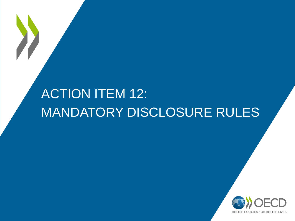# ACTION ITEM 12: MANDATORY DISCLOSURE RULES

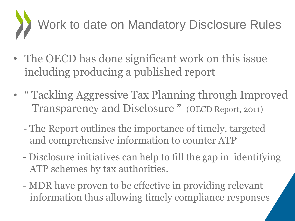

- The OECD has done significant work on this issue including producing a published report
- " Tackling Aggressive Tax Planning through Improved Transparency and Disclosure " (OECD Report, 2011)
	- The Report outlines the importance of timely, targeted and comprehensive information to counter ATP
	- Disclosure initiatives can help to fill the gap in identifying ATP schemes by tax authorities.
	- MDR have proven to be effective in providing relevant information thus allowing timely compliance responses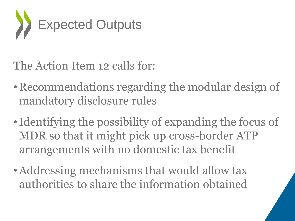

The Action Item 12 calls for:

- Recommendations regarding the modular design of mandatory disclosure rules
- Identifying the possibility of expanding the focus of MDR so that it might pick up cross-border ATP arrangements with no domestic tax benefit
- Addressing mechanisms that would allow tax authorities to share the information obtained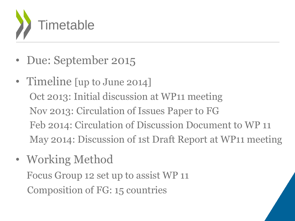

- Due: September 2015
- Timeline [up to June 2014] Oct 2013: Initial discussion at WP11 meeting Nov 2013: Circulation of Issues Paper to FG Feb 2014: Circulation of Discussion Document to WP 11 May 2014: Discussion of 1st Draft Report at WP11 meeting
- Working Method Focus Group 12 set up to assist WP 11 Composition of FG: 15 countries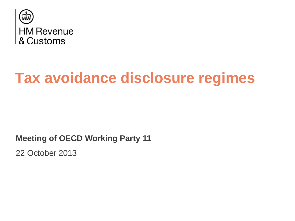

# **Tax avoidance disclosure regimes**

**Meeting of OECD Working Party 11**

22 October 2013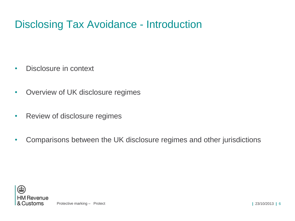## Disclosing Tax Avoidance - Introduction

- Disclosure in context
- Overview of UK disclosure regimes
- Review of disclosure regimes
- Comparisons between the UK disclosure regimes and other jurisdictions



Protective marking – Protect **|** 23/10/2013 **|** 6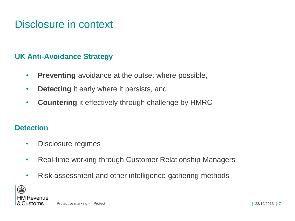## Disclosure in context

#### **UK Anti-Avoidance Strategy**

- **Preventing** avoidance at the outset where possible,
- **Detecting** it early where it persists, and
- **Countering** it effectively through challenge by HMRC

#### **Detection**

- Disclosure regimes
- Real-time working through Customer Relationship Managers
- Risk assessment and other intelligence-gathering methods

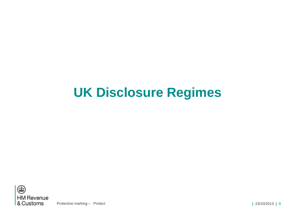# **UK Disclosure Regimes**



Protective marking – Protect **|** 23/10/2013 **|** 8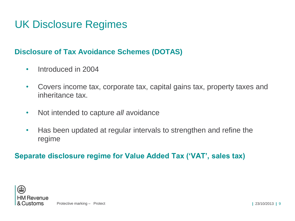## UK Disclosure Regimes

#### **Disclosure of Tax Avoidance Schemes (DOTAS)**

- Introduced in 2004
- Covers income tax, corporate tax, capital gains tax, property taxes and inheritance tax.
- Not intended to capture *all* avoidance
- Has been updated at regular intervals to strengthen and refine the regime

#### **Separate disclosure regime for Value Added Tax ('VAT', sales tax)**



Protective marking – Protect **|** 23/10/2013 **|** 9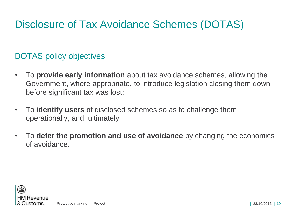## Disclosure of Tax Avoidance Schemes (DOTAS)

### DOTAS policy objectives

- To **provide early information** about tax avoidance schemes, allowing the Government, where appropriate, to introduce legislation closing them down before significant tax was lost;
- To **identify users** of disclosed schemes so as to challenge them operationally; and, ultimately
- To **deter the promotion and use of avoidance** by changing the economics of avoidance.

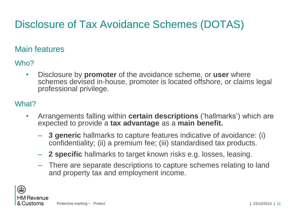## Disclosure of Tax Avoidance Schemes (DOTAS)

#### Main features

Who?

• Disclosure by **promoter** of the avoidance scheme, or **user** where schemes devised in-house, promoter is located offshore, or claims legal professional privilege.

#### What?

- Arrangements falling within **certain descriptions** ('hallmarks') which are expected to provide a **tax advantage** as a **main benefit.**
	- **3 generic** hallmarks to capture features indicative of avoidance: (i) confidentiality; (ii) a premium fee; (iii) standardised tax products.
	- **2 specific** hallmarks to target known risks e.g. losses, leasing.
	- There are separate descriptions to capture schemes relating to land and property tax and employment income.

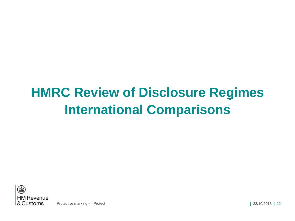# **HMRC Review of Disclosure Regimes International Comparisons**



Protective marking – Protect **|** 23/10/2013 **|** 12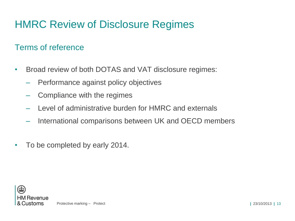## HMRC Review of Disclosure Regimes

#### Terms of reference

- Broad review of both DOTAS and VAT disclosure regimes:
	- Performance against policy objectives
	- Compliance with the regimes
	- Level of administrative burden for HMRC and externals
	- International comparisons between UK and OECD members
- To be completed by early 2014.

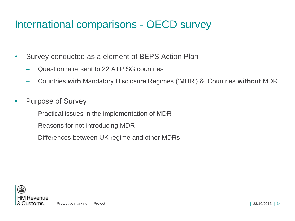## International comparisons - OECD survey

- Survey conducted as a element of BEPS Action Plan
	- Questionnaire sent to 22 ATP SG countries
	- Countries **with** Mandatory Disclosure Regimes ('MDR') & Countries **without** MDR
- Purpose of Survey
	- Practical issues in the implementation of MDR
	- Reasons for not introducing MDR
	- Differences between UK regime and other MDRs

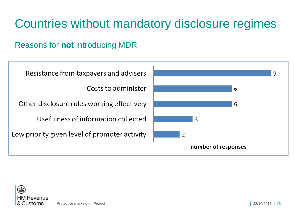### Reasons for **not** introducing MDR



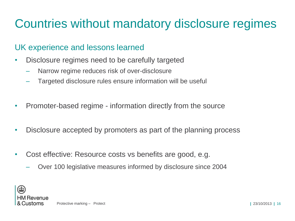#### UK experience and lessons learned

- Disclosure regimes need to be carefully targeted
	- Narrow regime reduces risk of over-disclosure
	- Targeted disclosure rules ensure information will be useful
- Promoter-based regime information directly from the source
- Disclosure accepted by promoters as part of the planning process
- Cost effective: Resource costs vs benefits are good, e.g.
	- Over 100 legislative measures informed by disclosure since 2004

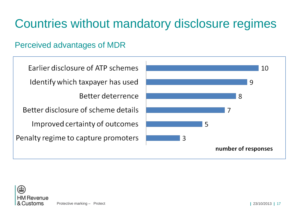### Perceived advantages of MDR

| Earlier disclosure of ATP schemes   |
|-------------------------------------|
| Identify which taxpayer has used    |
| <b>Better deterrence</b>            |
| Better disclosure of scheme details |
| Improved certainty of outcomes      |
| Penalty regime to capture promoters |
|                                     |



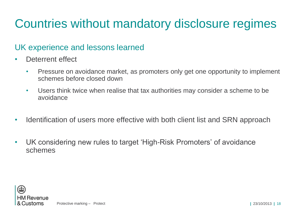#### UK experience and lessons learned

- Deterrent effect
	- Pressure on avoidance market, as promoters only get one opportunity to implement schemes before closed down
	- Users think twice when realise that tax authorities may consider a scheme to be avoidance
- Identification of users more effective with both client list and SRN approach
- UK considering new rules to target 'High-Risk Promoters' of avoidance schemes

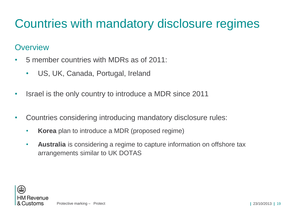#### **Overview**

- 5 member countries with MDRs as of 2011:
	- US, UK, Canada, Portugal, Ireland
- Israel is the only country to introduce a MDR since 2011
- Countries considering introducing mandatory disclosure rules:
	- **Korea** plan to introduce a MDR (proposed regime)
	- **Australia** is considering a regime to capture information on offshore tax arrangements similar to UK DOTAS

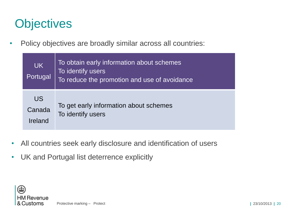## **Objectives**

• Policy objectives are broadly similar across all countries:

| <b>UK</b><br>Portugal    | To obtain early information about schemes<br>To identify users<br>To reduce the promotion and use of avoidance |
|--------------------------|----------------------------------------------------------------------------------------------------------------|
| US.<br>Canada<br>Ireland | To get early information about schemes<br>To identify users                                                    |

- All countries seek early disclosure and identification of users
- UK and Portugal list deterrence explicitly

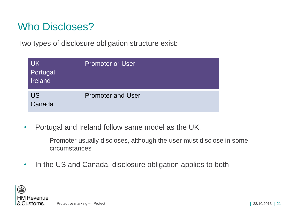## Who Discloses?

Two types of disclosure obligation structure exist:

| <b>UK</b><br>Portugal<br>Ireland | Promoter or User         |
|----------------------------------|--------------------------|
| <b>US</b><br>Canada              | <b>Promoter and User</b> |

- Portugal and Ireland follow same model as the UK:
	- Promoter usually discloses, although the user must disclose in some circumstances
- In the US and Canada, disclosure obligation applies to both

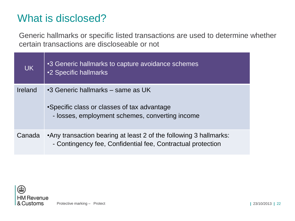### What is disclosed?

Generic hallmarks or specific listed transactions are used to determine whether certain transactions are discloseable or not

| <b>UK</b> | •3 Generic hallmarks to capture avoidance schemes<br><b>.2 Specific hallmarks</b>                                                   |
|-----------|-------------------------------------------------------------------------------------------------------------------------------------|
| Ireland   | •3 Generic hallmarks – same as UK<br>•Specific class or classes of tax advantage<br>- losses, employment schemes, converting income |
| Canada    | •Any transaction bearing at least 2 of the following 3 hallmarks:<br>- Contingency fee, Confidential fee, Contractual protection    |

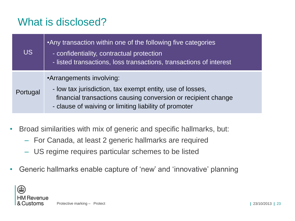## What is disclosed?

| <b>US</b> | .Any transaction within one of the following five categories<br>- confidentiality, contractual protection<br>- listed transactions, loss transactions, transactions of interest                                 |
|-----------|-----------------------------------------------------------------------------------------------------------------------------------------------------------------------------------------------------------------|
| Portugal  | •Arrangements involving:<br>- low tax jurisdiction, tax exempt entity, use of losses,<br>financial transactions causing conversion or recipient change<br>- clause of waiving or limiting liability of promoter |

- Broad similarities with mix of generic and specific hallmarks, but:
	- For Canada, at least 2 generic hallmarks are required
	- US regime requires particular schemes to be listed
- Generic hallmarks enable capture of 'new' and 'innovative' planning

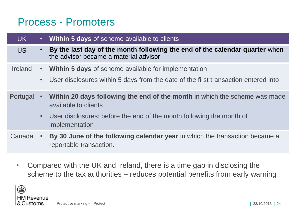### Process - Promoters

| <b>UK</b>      | $\bullet$   | <b>Within 5 days of scheme available to clients</b>                                                                  |
|----------------|-------------|----------------------------------------------------------------------------------------------------------------------|
| <b>US</b>      | $\bullet$   | By the last day of the month following the end of the calendar quarter when<br>the advisor became a material advisor |
| <b>Ireland</b> |             | • Within 5 days of scheme available for implementation                                                               |
|                | $\bullet$ . | User disclosures within 5 days from the date of the first transaction entered into                                   |
| Portugal       | $\bullet$   | Within 20 days following the end of the month in which the scheme was made<br>available to clients                   |
|                | $\bullet$   | User disclosures: before the end of the month following the month of<br>implementation                               |
| Canada         |             | By 30 June of the following calendar year in which the transaction became a<br>reportable transaction.               |

• Compared with the UK and Ireland, there is a time gap in disclosing the scheme to the tax authorities – reduces potential benefits from early warning

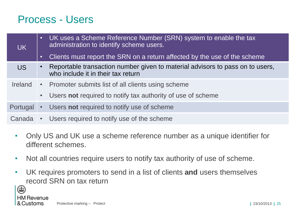### Process - Users

| UK I           | $\bullet$   | UK uses a Scheme Reference Number (SRN) system to enable the tax<br>administration to identify scheme users.        |
|----------------|-------------|---------------------------------------------------------------------------------------------------------------------|
|                | $\bullet$   | Clients must report the SRN on a return affected by the use of the scheme                                           |
| <b>US</b>      | $\bullet$   | Reportable transaction number given to material advisors to pass on to users,<br>who include it in their tax return |
| <b>Ireland</b> |             | • Promoter submits list of all clients using scheme                                                                 |
|                | $\bullet$ . | Users not required to notify tax authority of use of scheme                                                         |
| Portugal       | $\bullet$ . | Users not required to notify use of scheme                                                                          |
| Canada         | $\bullet$ . | Users required to notify use of the scheme                                                                          |

- Only US and UK use a scheme reference number as a unique identifier for different schemes.
- Not all countries require users to notify tax authority of use of scheme.
- UK requires promoters to send in a list of clients **and** users themselves record SRN on tax return

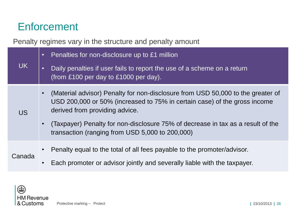## **Enforcement**

Penalty regimes vary in the structure and penalty amount

| <b>UK</b> | $\bullet$ | Penalties for non-disclosure up to £1 million                                                                                                                                                  |
|-----------|-----------|------------------------------------------------------------------------------------------------------------------------------------------------------------------------------------------------|
|           | $\bullet$ | Daily penalties if user fails to report the use of a scheme on a return<br>(from £100 per day to £1000 per day).                                                                               |
| <b>US</b> |           | (Material advisor) Penalty for non-disclosure from USD 50,000 to the greater of<br>USD 200,000 or 50% (increased to 75% in certain case) of the gross income<br>derived from providing advice. |
|           |           | (Taxpayer) Penalty for non-disclosure 75% of decrease in tax as a result of the<br>transaction (ranging from USD 5,000 to 200,000)                                                             |
| Canada    |           | Penalty equal to the total of all fees payable to the promoter/advisor.                                                                                                                        |
|           |           | Each promoter or advisor jointly and severally liable with the taxpayer.                                                                                                                       |

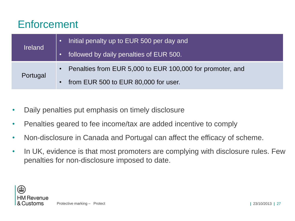### Enforcement

|                | Initial penalty up to EUR 500 per day and<br>$\bullet$      |
|----------------|-------------------------------------------------------------|
| <b>Ireland</b> | followed by daily penalties of EUR 500.                     |
|                | • Penalties from EUR 5,000 to EUR 100,000 for promoter, and |
| Portugal       | from EUR 500 to EUR 80,000 for user.<br>$\bullet$           |

- Daily penalties put emphasis on timely disclosure
- Penalties geared to fee income/tax are added incentive to comply
- Non-disclosure in Canada and Portugal can affect the efficacy of scheme.
- In UK, evidence is that most promoters are complying with disclosure rules. Few penalties for non-disclosure imposed to date.

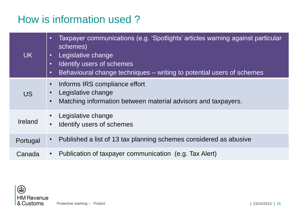## How is information used ?

| <b>UK</b> | Taxpayer communications (e.g. 'Spotlights' articles warning against particular<br>$\bullet$<br>schemes)<br>Legislative change<br>$\bullet$<br>Identify users of schemes<br>$\bullet$<br>Behavioural change techniques – writing to potential users of schemes<br>$\bullet$ |
|-----------|----------------------------------------------------------------------------------------------------------------------------------------------------------------------------------------------------------------------------------------------------------------------------|
| <b>US</b> | Informs IRS compliance effort<br>$\bullet$<br>Legislative change<br>Matching information between material advisors and taxpayers.<br>$\bullet$                                                                                                                             |
| Ireland   | Legislative change<br>Identify users of schemes                                                                                                                                                                                                                            |
| Portugal  | Published a list of 13 tax planning schemes considered as abusive<br>$\bullet$                                                                                                                                                                                             |
| Canada    | Publication of taxpayer communication (e.g. Tax Alert)<br>$\bullet$                                                                                                                                                                                                        |

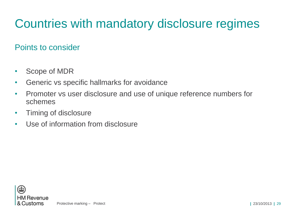#### Points to consider

- Scope of MDR
- Generic vs specific hallmarks for avoidance
- Promoter vs user disclosure and use of unique reference numbers for schemes
- Timing of disclosure
- Use of information from disclosure

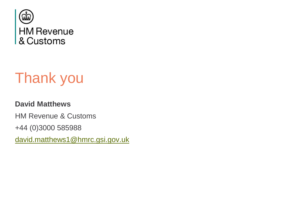

# Thank you

#### **David Matthews**

HM Revenue & Customs

+44 (0)3000 585988

[david.matthews1@hmrc.gsi.gov.uk](mailto:david.matthews1@hmrc.gsi.gov.uk)